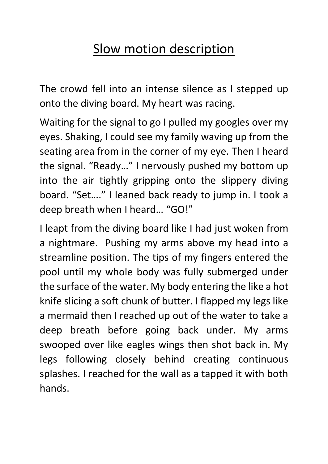## Slow motion description

The crowd fell into an intense silence as I stepped up onto the diving board. My heart was racing.

Waiting for the signal to go I pulled my googles over my eyes. Shaking, I could see my family waving up from the seating area from in the corner of my eye. Then I heard the signal. "Ready…" I nervously pushed my bottom up into the air tightly gripping onto the slippery diving board. "Set…." I leaned back ready to jump in. I took a deep breath when I heard… "GO!"

I leapt from the diving board like I had just woken from a nightmare. Pushing my arms above my head into a streamline position. The tips of my fingers entered the pool until my whole body was fully submerged under the surface of the water. My body entering the like a hot knife slicing a soft chunk of butter. I flapped my legs like a mermaid then I reached up out of the water to take a deep breath before going back under. My arms swooped over like eagles wings then shot back in. My legs following closely behind creating continuous splashes. I reached for the wall as a tapped it with both hands.